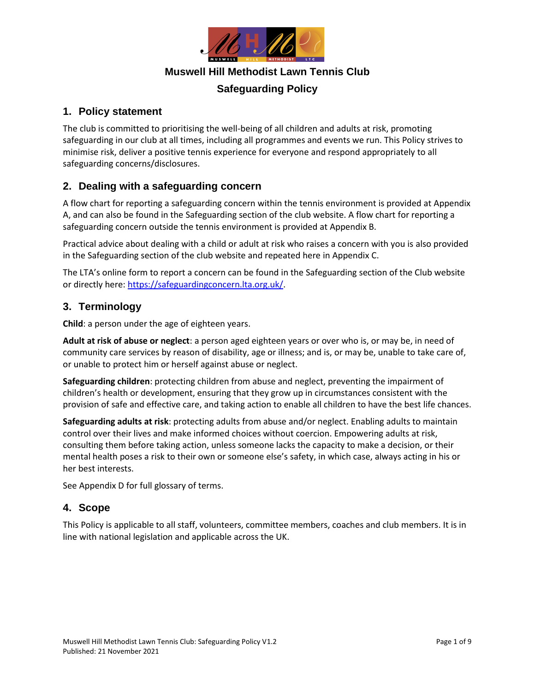

### **Muswell Hill Methodist Lawn Tennis Club**

# **Safeguarding Policy**

### **1. Policy statement**

The club is committed to prioritising the well-being of all children and adults at risk, promoting safeguarding in our club at all times, including all programmes and events we run. This Policy strives to minimise risk, deliver a positive tennis experience for everyone and respond appropriately to all safeguarding concerns/disclosures.

### **2. Dealing with a safeguarding concern**

A flow chart for reporting a safeguarding concern within the tennis environment is provided at Appendix A, and can also be found in the Safeguarding section of the club website. A flow chart for reporting a safeguarding concern outside the tennis environment is provided at Appendix B.

Practical advice about dealing with a child or adult at risk who raises a concern with you is also provided in the Safeguarding section of the club website and repeated here in Appendix C.

The LTA's online form to report a concern can be found in the Safeguarding section of the Club website or directly here: [https://safeguardingconcern.lta.org.uk/.](https://safeguardingconcern.lta.org.uk/)

### **3. Terminology**

**Child**: a person under the age of eighteen years.

**Adult at risk of abuse or neglect**: a person aged eighteen years or over who is, or may be, in need of community care services by reason of disability, age or illness; and is, or may be, unable to take care of, or unable to protect him or herself against abuse or neglect.

**Safeguarding children**: protecting children from abuse and neglect, preventing the impairment of children's health or development, ensuring that they grow up in circumstances consistent with the provision of safe and effective care, and taking action to enable all children to have the best life chances.

**Safeguarding adults at risk**: protecting adults from abuse and/or neglect. Enabling adults to maintain control over their lives and make informed choices without coercion. Empowering adults at risk, consulting them before taking action, unless someone lacks the capacity to make a decision, or their mental health poses a risk to their own or someone else's safety, in which case, always acting in his or her best interests.

See Appendix D for full glossary of terms.

### **4. Scope**

This Policy is applicable to all staff, volunteers, committee members, coaches and club members. It is in line with national legislation and applicable across the UK.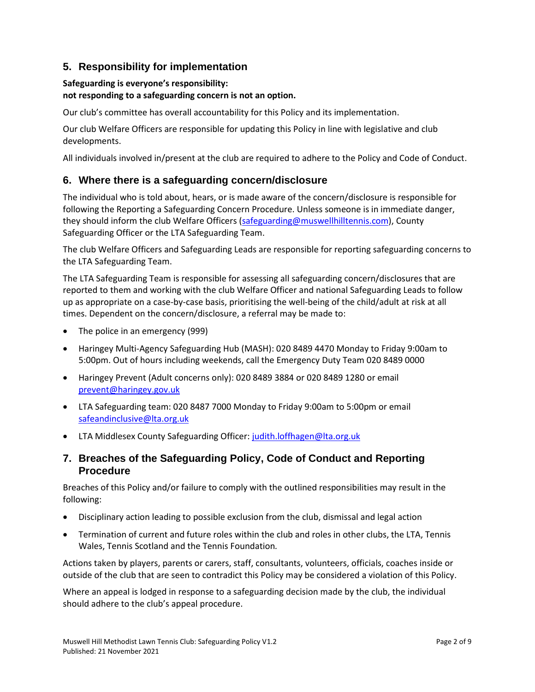# **5. Responsibility for implementation**

#### **Safeguarding is everyone's responsibility:**

#### **not responding to a safeguarding concern is not an option.**

Our club's committee has overall accountability for this Policy and its implementation.

Our club Welfare Officers are responsible for updating this Policy in line with legislative and club developments.

All individuals involved in/present at the club are required to adhere to the Policy and Code of Conduct.

### **6. Where there is a safeguarding concern/disclosure**

The individual who is told about, hears, or is made aware of the concern/disclosure is responsible for following the Reporting a Safeguarding Concern Procedure. Unless someone is in immediate danger, they should inform the club Welfare Officers [\(safeguarding@muswellhilltennis.com\)](mailto:safeguarding@muswellhilltennis.com), County Safeguarding Officer or the LTA Safeguarding Team.

The club Welfare Officers and Safeguarding Leads are responsible for reporting safeguarding concerns to the LTA Safeguarding Team.

The LTA Safeguarding Team is responsible for assessing all safeguarding concern/disclosures that are reported to them and working with the club Welfare Officer and national Safeguarding Leads to follow up as appropriate on a case-by-case basis, prioritising the well-being of the child/adult at risk at all times. Dependent on the concern/disclosure, a referral may be made to:

- The police in an emergency (999)
- Haringey Multi-Agency Safeguarding Hub (MASH): 020 8489 4470 Monday to Friday 9:00am to 5:00pm. Out of hours including weekends, call the Emergency Duty Team 020 8489 0000
- Haringey Prevent (Adult concerns only): 020 8489 3884 or 020 8489 1280 or email [prevent@haringey.gov.uk](mailto:prevent@haringey.gov.uk)
- LTA Safeguarding team: 020 8487 7000 Monday to Friday 9:00am to 5:00pm or email [safeandinclusive@lta.org.uk](mailto:safeandinclusive@lta.org.uk)
- LTA Middlesex County Safeguarding Officer: [judith.loffhagen@lta.org.uk](mailto:Judith.loffhagen@lta.org.uk)

### **7. Breaches of the Safeguarding Policy, Code of Conduct and Reporting Procedure**

Breaches of this Policy and/or failure to comply with the outlined responsibilities may result in the following:

- Disciplinary action leading to possible exclusion from the club, dismissal and legal action
- Termination of current and future roles within the club and roles in other clubs, the LTA, Tennis Wales, Tennis Scotland and the Tennis Foundation*.*

Actions taken by players, parents or carers, staff, consultants, volunteers, officials, coaches inside or outside of the club that are seen to contradict this Policy may be considered a violation of this Policy.

Where an appeal is lodged in response to a safeguarding decision made by the club, the individual should adhere to the club's appeal procedure.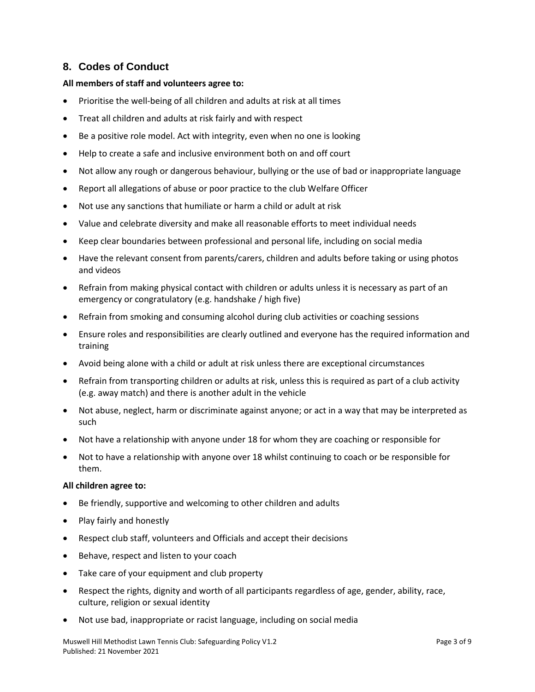### **8. Codes of Conduct**

#### **All members of staff and volunteers agree to:**

- Prioritise the well-being of all children and adults at risk at all times
- Treat all children and adults at risk fairly and with respect
- Be a positive role model. Act with integrity, even when no one is looking
- Help to create a safe and inclusive environment both on and off court
- Not allow any rough or dangerous behaviour, bullying or the use of bad or inappropriate language
- Report all allegations of abuse or poor practice to the club Welfare Officer
- Not use any sanctions that humiliate or harm a child or adult at risk
- Value and celebrate diversity and make all reasonable efforts to meet individual needs
- Keep clear boundaries between professional and personal life, including on social media
- Have the relevant consent from parents/carers, children and adults before taking or using photos and videos
- Refrain from making physical contact with children or adults unless it is necessary as part of an emergency or congratulatory (e.g. handshake / high five)
- Refrain from smoking and consuming alcohol during club activities or coaching sessions
- Ensure roles and responsibilities are clearly outlined and everyone has the required information and training
- Avoid being alone with a child or adult at risk unless there are exceptional circumstances
- Refrain from transporting children or adults at risk, unless this is required as part of a club activity (e.g. away match) and there is another adult in the vehicle
- Not abuse, neglect, harm or discriminate against anyone; or act in a way that may be interpreted as such
- Not have a relationship with anyone under 18 for whom they are coaching or responsible for
- Not to have a relationship with anyone over 18 whilst continuing to coach or be responsible for them.

#### **All children agree to:**

- Be friendly, supportive and welcoming to other children and adults
- Play fairly and honestly
- Respect club staff, volunteers and Officials and accept their decisions
- Behave, respect and listen to your coach
- Take care of your equipment and club property
- Respect the rights, dignity and worth of all participants regardless of age, gender, ability, race, culture, religion or sexual identity
- Not use bad, inappropriate or racist language, including on social media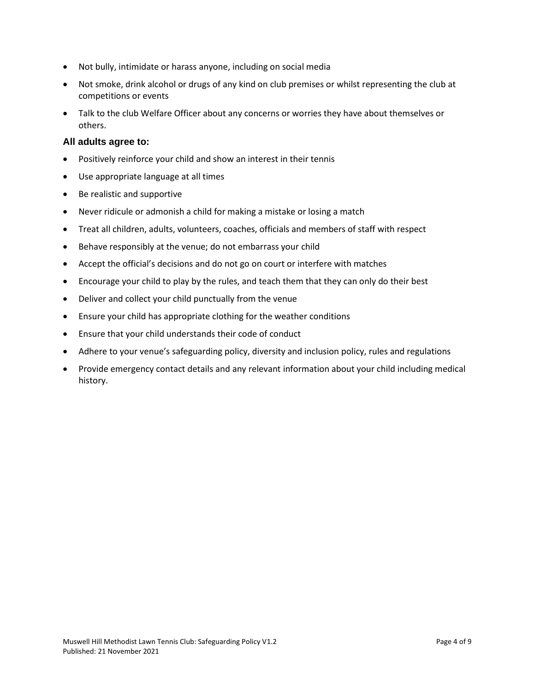- Not bully, intimidate or harass anyone, including on social media
- Not smoke, drink alcohol or drugs of any kind on club premises or whilst representing the club at competitions or events
- Talk to the club Welfare Officer about any concerns or worries they have about themselves or others.

#### **All adults agree to:**

- Positively reinforce your child and show an interest in their tennis
- Use appropriate language at all times
- Be realistic and supportive
- Never ridicule or admonish a child for making a mistake or losing a match
- Treat all children, adults, volunteers, coaches, officials and members of staff with respect
- Behave responsibly at the venue; do not embarrass your child
- Accept the official's decisions and do not go on court or interfere with matches
- Encourage your child to play by the rules, and teach them that they can only do their best
- Deliver and collect your child punctually from the venue
- Ensure your child has appropriate clothing for the weather conditions
- Ensure that your child understands their code of conduct
- Adhere to your venue's safeguarding policy, diversity and inclusion policy, rules and regulations
- Provide emergency contact details and any relevant information about your child including medical history.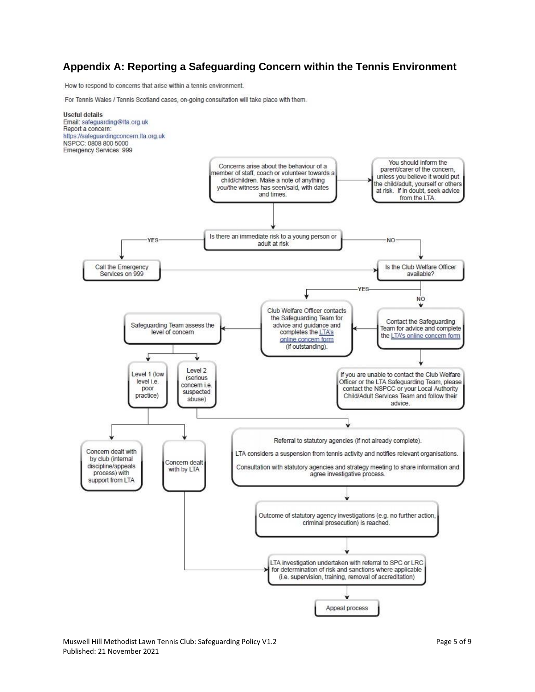#### **Appendix A: Reporting a Safeguarding Concern within the Tennis Environment**

How to respond to concerns that arise within a tennis environment.

For Tennis Wales / Tennis Scotland cases, on-going consultation will take place with them.

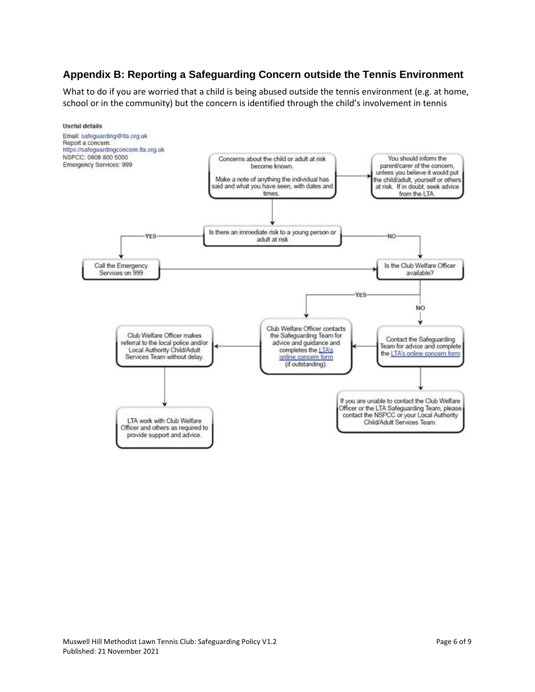# **Appendix B: Reporting a Safeguarding Concern outside the Tennis Environment**

What to do if you are worried that a child is being abused outside the tennis environment (e.g. at home, school or in the community) but the concern is identified through the child's involvement in tennis

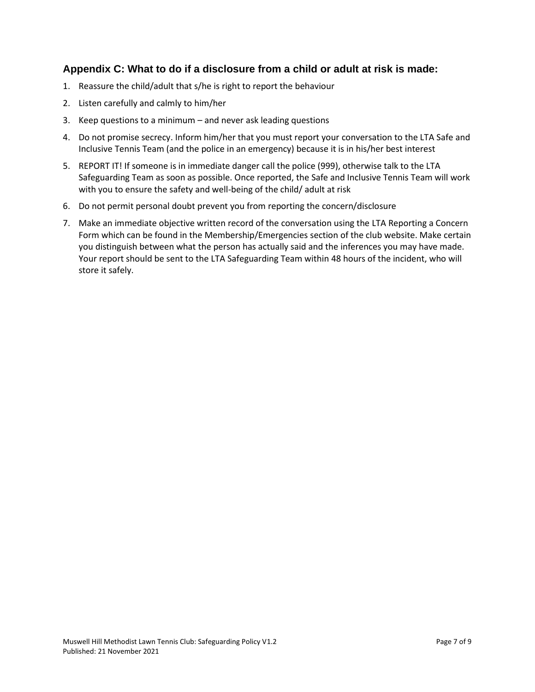### **Appendix C: What to do if a disclosure from a child or adult at risk is made:**

- 1. Reassure the child/adult that s/he is right to report the behaviour
- 2. Listen carefully and calmly to him/her
- 3. Keep questions to a minimum and never ask leading questions
- 4. Do not promise secrecy. Inform him/her that you must report your conversation to the LTA Safe and Inclusive Tennis Team (and the police in an emergency) because it is in his/her best interest
- 5. REPORT IT! If someone is in immediate danger call the police (999), otherwise talk to the LTA Safeguarding Team as soon as possible. Once reported, the Safe and Inclusive Tennis Team will work with you to ensure the safety and well-being of the child/ adult at risk
- 6. Do not permit personal doubt prevent you from reporting the concern/disclosure
- 7. Make an immediate objective written record of the conversation using the LTA Reporting a Concern Form which can be found in the Membership/Emergencies section of the club website. Make certain you distinguish between what the person has actually said and the inferences you may have made. Your report should be sent to the LTA Safeguarding Team within 48 hours of the incident, who will store it safely.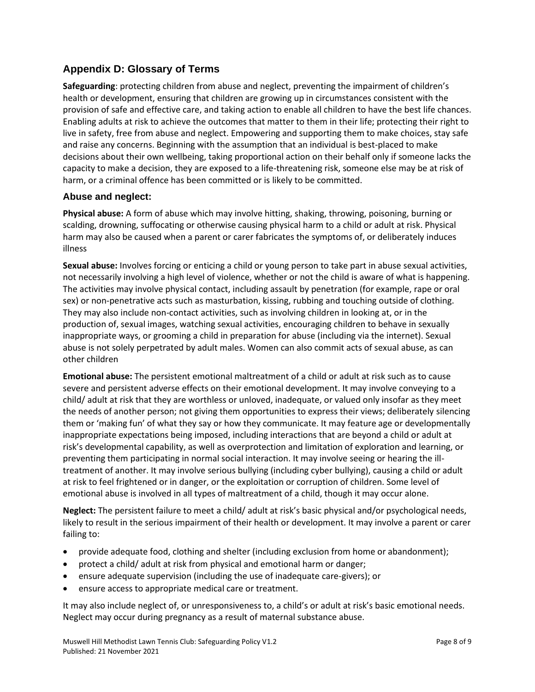# **Appendix D: Glossary of Terms**

**Safeguarding**: protecting children from abuse and neglect, preventing the impairment of children's health or development, ensuring that children are growing up in circumstances consistent with the provision of safe and effective care, and taking action to enable all children to have the best life chances. Enabling adults at risk to achieve the outcomes that matter to them in their life; protecting their right to live in safety, free from abuse and neglect. Empowering and supporting them to make choices, stay safe and raise any concerns. Beginning with the assumption that an individual is best-placed to make decisions about their own wellbeing, taking proportional action on their behalf only if someone lacks the capacity to make a decision, they are exposed to a life-threatening risk, someone else may be at risk of harm, or a criminal offence has been committed or is likely to be committed.

#### **Abuse and neglect:**

**Physical abuse:** A form of abuse which may involve hitting, shaking, throwing, poisoning, burning or scalding, drowning, suffocating or otherwise causing physical harm to a child or adult at risk. Physical harm may also be caused when a parent or carer fabricates the symptoms of, or deliberately induces illness

**Sexual abuse:** Involves forcing or enticing a child or young person to take part in abuse sexual activities, not necessarily involving a high level of violence, whether or not the child is aware of what is happening. The activities may involve physical contact, including assault by penetration (for example, rape or oral sex) or non-penetrative acts such as masturbation, kissing, rubbing and touching outside of clothing. They may also include non-contact activities, such as involving children in looking at, or in the production of, sexual images, watching sexual activities, encouraging children to behave in sexually inappropriate ways, or grooming a child in preparation for abuse (including via the internet). Sexual abuse is not solely perpetrated by adult males. Women can also commit acts of sexual abuse, as can other children

**Emotional abuse:** The persistent emotional maltreatment of a child or adult at risk such as to cause severe and persistent adverse effects on their emotional development. It may involve conveying to a child/ adult at risk that they are worthless or unloved, inadequate, or valued only insofar as they meet the needs of another person; not giving them opportunities to express their views; deliberately silencing them or 'making fun' of what they say or how they communicate. It may feature age or developmentally inappropriate expectations being imposed, including interactions that are beyond a child or adult at risk's developmental capability, as well as overprotection and limitation of exploration and learning, or preventing them participating in normal social interaction. It may involve seeing or hearing the illtreatment of another. It may involve serious bullying (including cyber bullying), causing a child or adult at risk to feel frightened or in danger, or the exploitation or corruption of children. Some level of emotional abuse is involved in all types of maltreatment of a child, though it may occur alone.

**Neglect:** The persistent failure to meet a child/ adult at risk's basic physical and/or psychological needs, likely to result in the serious impairment of their health or development. It may involve a parent or carer failing to:

- provide adequate food, clothing and shelter (including exclusion from home or abandonment);
- protect a child/ adult at risk from physical and emotional harm or danger;
- ensure adequate supervision (including the use of inadequate care-givers); or
- ensure access to appropriate medical care or treatment.

It may also include neglect of, or unresponsiveness to, a child's or adult at risk's basic emotional needs. Neglect may occur during pregnancy as a result of maternal substance abuse.